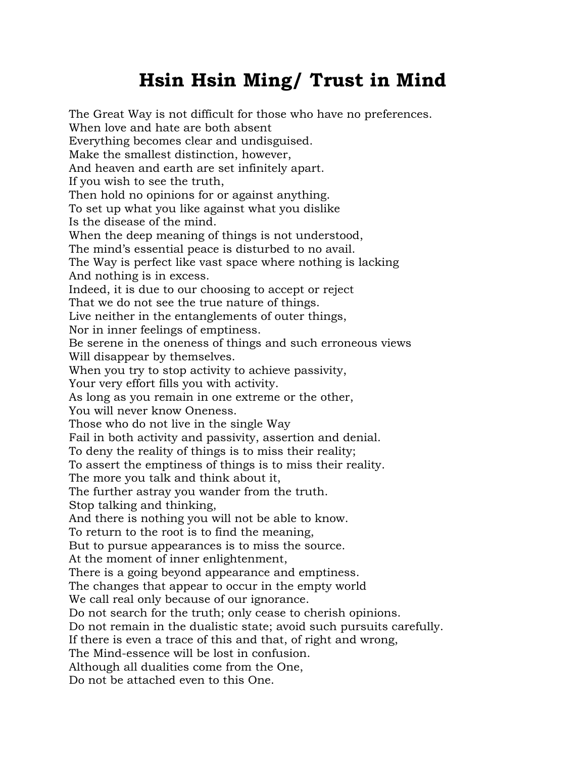## **Hsin Hsin Ming/ Trust in Mind**

The Great Way is not difficult for those who have no preferences. When love and hate are both absent Everything becomes clear and undisguised. Make the smallest distinction, however, And heaven and earth are set infinitely apart. If you wish to see the truth, Then hold no opinions for or against anything. To set up what you like against what you dislike Is the disease of the mind. When the deep meaning of things is not understood, The mind's essential peace is disturbed to no avail. The Way is perfect like vast space where nothing is lacking And nothing is in excess. Indeed, it is due to our choosing to accept or reject That we do not see the true nature of things. Live neither in the entanglements of outer things, Nor in inner feelings of emptiness. Be serene in the oneness of things and such erroneous views Will disappear by themselves. When you try to stop activity to achieve passivity, Your very effort fills you with activity. As long as you remain in one extreme or the other, You will never know Oneness. Those who do not live in the single Way Fail in both activity and passivity, assertion and denial. To deny the reality of things is to miss their reality; To assert the emptiness of things is to miss their reality. The more you talk and think about it, The further astray you wander from the truth. Stop talking and thinking, And there is nothing you will not be able to know. To return to the root is to find the meaning, But to pursue appearances is to miss the source. At the moment of inner enlightenment, There is a going beyond appearance and emptiness. The changes that appear to occur in the empty world We call real only because of our ignorance. Do not search for the truth; only cease to cherish opinions. Do not remain in the dualistic state; avoid such pursuits carefully. If there is even a trace of this and that, of right and wrong, The Mind-essence will be lost in confusion. Although all dualities come from the One, Do not be attached even to this One.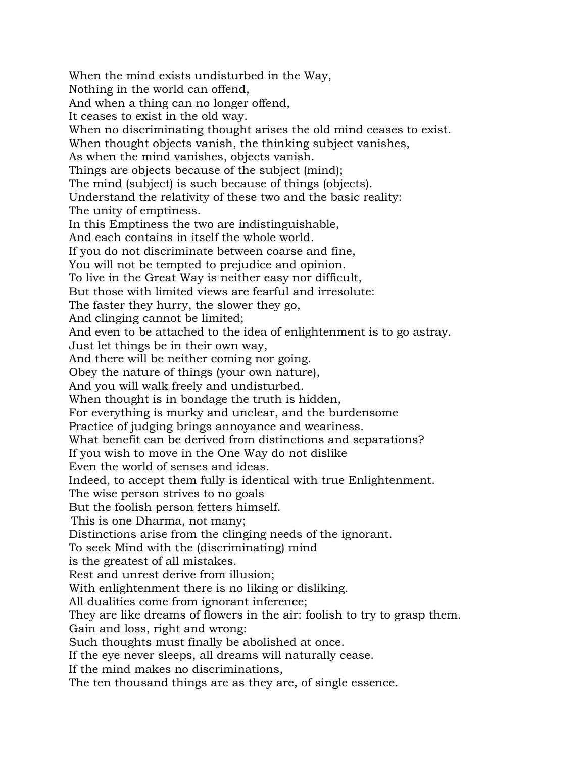When the mind exists undisturbed in the Way, Nothing in the world can offend, And when a thing can no longer offend, It ceases to exist in the old way. When no discriminating thought arises the old mind ceases to exist. When thought objects vanish, the thinking subject vanishes, As when the mind vanishes, objects vanish. Things are objects because of the subject (mind); The mind (subject) is such because of things (objects). Understand the relativity of these two and the basic reality: The unity of emptiness. In this Emptiness the two are indistinguishable, And each contains in itself the whole world. If you do not discriminate between coarse and fine, You will not be tempted to prejudice and opinion. To live in the Great Way is neither easy nor difficult, But those with limited views are fearful and irresolute: The faster they hurry, the slower they go, And clinging cannot be limited; And even to be attached to the idea of enlightenment is to go astray. Just let things be in their own way, And there will be neither coming nor going. Obey the nature of things (your own nature), And you will walk freely and undisturbed. When thought is in bondage the truth is hidden, For everything is murky and unclear, and the burdensome Practice of judging brings annoyance and weariness. What benefit can be derived from distinctions and separations? If you wish to move in the One Way do not dislike Even the world of senses and ideas. Indeed, to accept them fully is identical with true Enlightenment. The wise person strives to no goals But the foolish person fetters himself. This is one Dharma, not many; Distinctions arise from the clinging needs of the ignorant. To seek Mind with the (discriminating) mind is the greatest of all mistakes. Rest and unrest derive from illusion; With enlightenment there is no liking or disliking. All dualities come from ignorant inference; They are like dreams of flowers in the air: foolish to try to grasp them. Gain and loss, right and wrong: Such thoughts must finally be abolished at once. If the eye never sleeps, all dreams will naturally cease. If the mind makes no discriminations, The ten thousand things are as they are, of single essence.